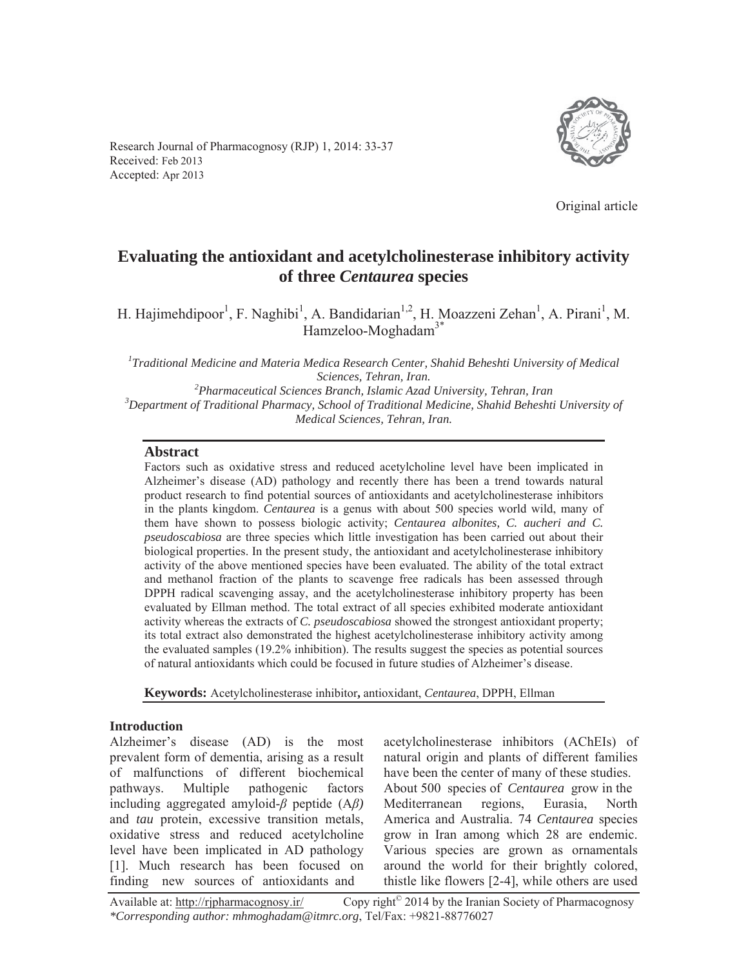Research Journal of Pharmacognosy (RJP) 1, 2014: 33-37 Received: Feb 2013 Accepted: Apr 2013



Original article

# **Evaluating the antioxidant and acetylcholinesterase inhibitory activity of three** *Centaurea* **species**

H. Hajimehdipoor<sup>1</sup>, F. Naghibi<sup>1</sup>, A. Bandidarian<sup>1,2</sup>, H. Moazzeni Zehan<sup>1</sup>, A. Pirani<sup>1</sup>, M. Hamzeloo-Moghadam<sup>3\*</sup>

*1 Traditional Medicine and Materia Medica Research Center, Shahid Beheshti University of Medical Sciences, Tehran, Iran.*<br><sup>2</sup> Pharmaceutical Sciences Pranch, Islamic Azad. *Pharmaceutical Sciences Branch, Islamic Azad University, Tehran, Iran 3* <sup>3</sup>Department of Traditional Pharmacy, School of Traditional Medicine, Shahid Beheshti University of *Medical Sciences, Tehran, Iran.* 

#### **Abstract**

Factors such as oxidative stress and reduced acetylcholine level have been implicated in Alzheimer's disease (AD) pathology and recently there has been a trend towards natural product research to find potential sources of antioxidants and acetylcholinesterase inhibitors in the plants kingdom. *Centaurea* is a genus with about 500 species world wild, many of them have shown to possess biologic activity; *Centaurea albonites, C. aucheri and C. pseudoscabiosa* are three species which little investigation has been carried out about their biological properties. In the present study, the antioxidant and acetylcholinesterase inhibitory activity of the above mentioned species have been evaluated. The ability of the total extract and methanol fraction of the plants to scavenge free radicals has been assessed through DPPH radical scavenging assay, and the acetylcholinesterase inhibitory property has been evaluated by Ellman method. The total extract of all species exhibited moderate antioxidant activity whereas the extracts of *C. pseudoscabiosa* showed the strongest antioxidant property; its total extract also demonstrated the highest acetylcholinesterase inhibitory activity among the evaluated samples (19.2% inhibition). The results suggest the species as potential sources of natural antioxidants which could be focused in future studies of Alzheimer's disease.

**Keywords:** Acetylcholinesterase inhibitor**,** antioxidant, *Centaurea*, DPPH, Ellman

#### **Introduction**

Alzheimer's disease (AD) is the most prevalent form of dementia, arising as a result of malfunctions of different biochemical pathways. Multiple pathogenic factors including aggregated amyloid- $\beta$  peptide  $(A\beta)$ and *tau* protein, excessive transition metals, oxidative stress and reduced acetylcholine level have been implicated in AD pathology [1]. Much research has been focused on finding new sources of antioxidants and

acetylcholinesterase inhibitors (AChEIs) of natural origin and plants of different families have been the center of many of these studies. About 500 species of *Centaurea* grow in the Mediterranean regions, Eurasia, North America and Australia. 74 *Centaurea* species grow in Iran among which 28 are endemic. Various species are grown as ornamentals around the world for their brightly colored, thistle like flowers [2-4], while others are used

Available at: http://rjpharmacognosy.ir/ Copy right<sup>©</sup> 2014 by the Iranian Society of Pharmacognosy *\*Corresponding author: mhmoghadam@itmrc.org*, Tel/Fax: +9821-88776027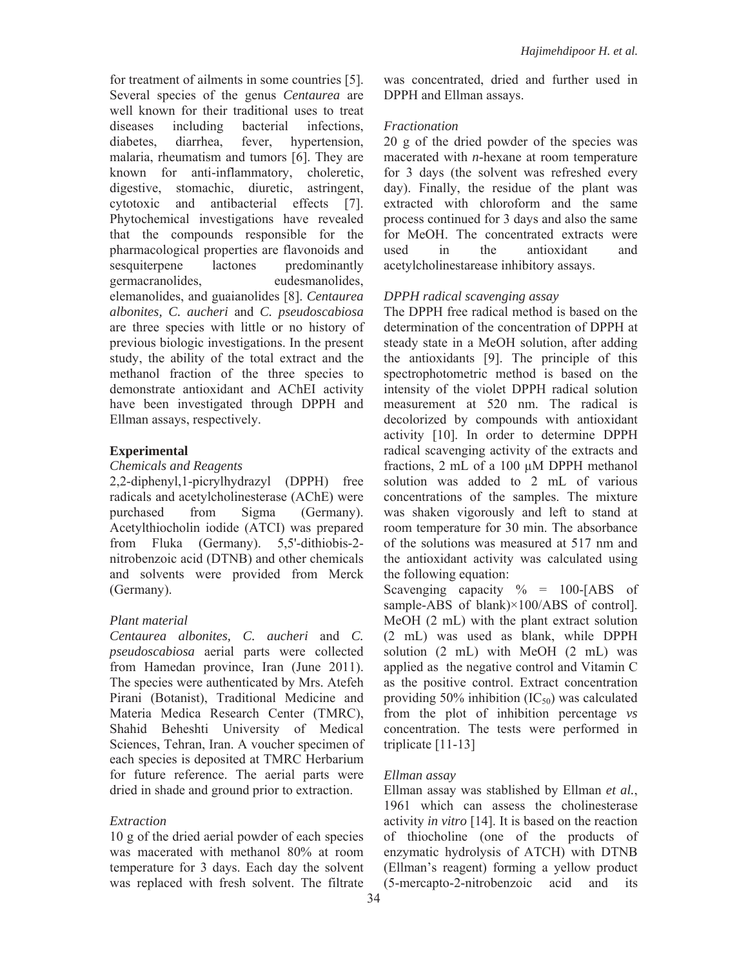for treatment of ailments in some countries [5]. Several species of the genus *Centaurea* are well known for their traditional uses to treat diseases including bacterial infections, diabetes, diarrhea, fever, hypertension, malaria, rheumatism and tumors [6]. They are known for anti-inflammatory, choleretic, digestive, stomachic, diuretic, astringent, cytotoxic and antibacterial effects [7]. Phytochemical investigations have revealed that the compounds responsible for the pharmacological properties are flavonoids and sesquiterpene lactones predominantly germacranolides, eudesmanolides, elemanolides, and guaianolides [8]. *Centaurea albonites, C. aucheri* and *C. pseudoscabiosa* are three species with little or no history of previous biologic investigations. In the present study, the ability of the total extract and the methanol fraction of the three species to demonstrate antioxidant and AChEI activity have been investigated through DPPH and Ellman assays, respectively.

## **Experimental**

#### *Chemicals and Reagents*

2,2-diphenyl,1-picrylhydrazyl (DPPH) free radicals and acetylcholinesterase (AChE) were purchased from Sigma (Germany). Acetylthiocholin iodide (ATCI) was prepared from Fluka (Germany). 5,5'-dithiobis-2 nitrobenzoic acid (DTNB) and other chemicals and solvents were provided from Merck (Germany).

## *Plant material*

*Centaurea albonites, C. aucheri* and *C. pseudoscabiosa* aerial parts were collected from Hamedan province, Iran (June 2011). The species were authenticated by Mrs. Atefeh Pirani (Botanist), Traditional Medicine and Materia Medica Research Center (TMRC), Shahid Beheshti University of Medical Sciences, Tehran, Iran. A voucher specimen of each species is deposited at TMRC Herbarium for future reference. The aerial parts were dried in shade and ground prior to extraction.

## *Extraction*

10 g of the dried aerial powder of each species was macerated with methanol 80% at room temperature for 3 days. Each day the solvent was replaced with fresh solvent. The filtrate

was concentrated, dried and further used in DPPH and Ellman assays.

# *Fractionation*

20 g of the dried powder of the species was macerated with *n*-hexane at room temperature for 3 days (the solvent was refreshed every day). Finally, the residue of the plant was extracted with chloroform and the same process continued for 3 days and also the same for MeOH. The concentrated extracts were used in the antioxidant and acetylcholinestarease inhibitory assays.

# *DPPH radical scavenging assay*

The DPPH free radical method is based on the determination of the concentration of DPPH at steady state in a MeOH solution, after adding the antioxidants [9]. The principle of this spectrophotometric method is based on the intensity of the violet DPPH radical solution measurement at 520 nm. The radical is decolorized by compounds with antioxidant activity [10]. In order to determine DPPH radical scavenging activity of the extracts and fractions, 2 mL of a 100 μM DPPH methanol solution was added to 2 mL of various concentrations of the samples. The mixture was shaken vigorously and left to stand at room temperature for 30 min. The absorbance of the solutions was measured at 517 nm and the antioxidant activity was calculated using the following equation:

Scavenging capacity  $\% = 100$ -[ABS of sample-ABS of blank)×100/ABS of control]. MeOH (2 mL) with the plant extract solution (2 mL) was used as blank, while DPPH solution (2 mL) with MeOH (2 mL) was applied as the negative control and Vitamin C as the positive control. Extract concentration providing 50% inhibition  $(IC_{50})$  was calculated from the plot of inhibition percentage *vs* concentration. The tests were performed in triplicate [11-13]

## *Ellman assay*

Ellman assay was stablished by Ellman *et al.*, 1961 which can assess the cholinesterase activity *in vitro* [14]. It is based on the reaction of thiocholine (one of the products of enzymatic hydrolysis of ATCH) with DTNB (Ellman's reagent) forming a yellow product (5-mercapto-2-nitrobenzoic acid and its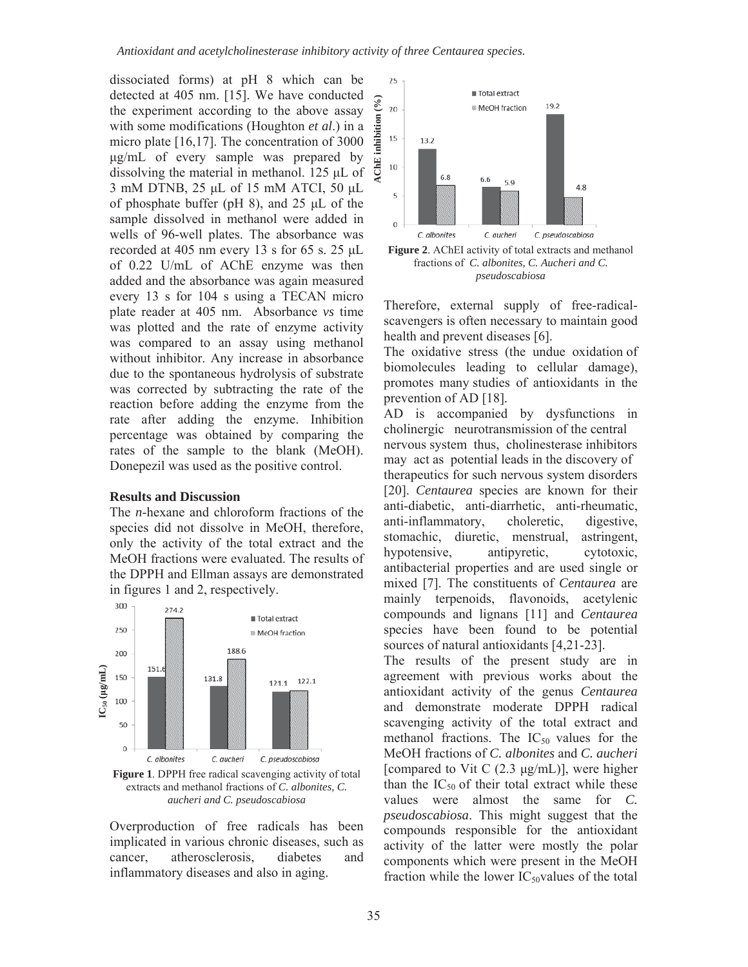dissociated forms) at pH 8 which can be detected at 405 nm. [15]. We have conducted the experiment according to the above assay with some modifications (Houghton *et al*.) in a micro plate [16,17]. The concentration of 3000  $\mu$ g/mL of every sample was prepared by dissolving the material in methanol.  $125 \mu L$  of 3 mM DTNB, 25 µL of 15 mM ATCI, 50 µL of phosphate buffer (pH 8), and  $25 \mu L$  of the sample dissolved in methanol were added in wells of 96-well plates. The absorbance was recorded at 405 nm every 13 s for 65 s. 25  $\mu$ L of 0.22 U/mL of AChE enzyme was then added and the absorbance was again measured every 13 s for 104 s using a TECAN micro plate reader at 405 nm. Absorbance *vs* time was plotted and the rate of enzyme activity was compared to an assay using methanol without inhibitor. Any increase in absorbance due to the spontaneous hydrolysis of substrate was corrected by subtracting the rate of the reaction before adding the enzyme from the rate after adding the enzyme. Inhibition percentage was obtained by comparing the rates of the sample to the blank (MeOH). Donepezil was used as the positive control.

#### **Results and Discussion**

The *n*-hexane and chloroform fractions of the species did not dissolve in MeOH, therefore, only the activity of the total extract and the MeOH fractions were evaluated. The results of the DPPH and Ellman assays are demonstrated in figures 1 and 2, respectively.



**Figure 1**. DPPH free radical scavenging activity of total extracts and methanol fractions of *C. albonites, C. aucheri and C. pseudoscabiosa* 

Overproduction of free radicals has been implicated in various chronic diseases, such as cancer, atherosclerosis, diabetes and inflammatory diseases and also in aging.



fractions of *C. albonites, C. Aucheri and C. pseudoscabiosa*

Therefore, external supply of free-radicalscavengers is often necessary to maintain good health and prevent diseases [6].

The oxidative stress (the undue oxidation of biomolecules leading to cellular damage), promotes many studies of antioxidants in the prevention of AD [18].

AD is accompanied by dysfunctions in cholinergic neurotransmission of the central nervous system thus, cholinesterase inhibitors may act as potential leads in the discovery of therapeutics for such nervous system disorders [20]. *Centaurea* species are known for their anti-diabetic, anti-diarrhetic, anti-rheumatic, anti-inflammatory, choleretic, digestive, stomachic, diuretic, menstrual, astringent, hypotensive, antipyretic, cytotoxic, antibacterial properties and are used single or mixed [7]. The constituents of *Centaurea* are mainly terpenoids, flavonoids, acetylenic compounds and lignans [11] and *Centaurea* species have been found to be potential sources of natural antioxidants [4,21-23].

The results of the present study are in agreement with previous works about the antioxidant activity of the genus *Centaurea* and demonstrate moderate DPPH radical scavenging activity of the total extract and methanol fractions. The  $IC_{50}$  values for the MeOH fractions of *C. albonites* and *C. aucheri* [compared to Vit C  $(2.3 \text{ µg/mL})$ ], were higher than the  $IC_{50}$  of their total extract while these values were almost the same for *C. pseudoscabiosa*. This might suggest that the compounds responsible for the antioxidant activity of the latter were mostly the polar components which were present in the MeOH fraction while the lower  $IC_{50}$ values of the total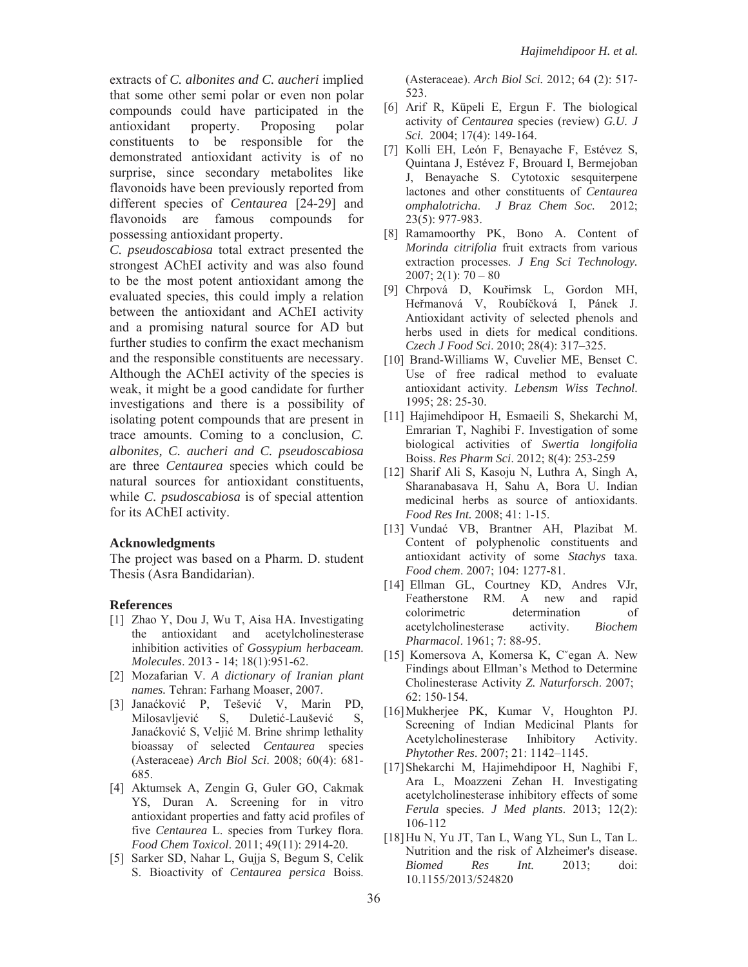extracts of *C. albonites and C. aucheri* implied that some other semi polar or even non polar compounds could have participated in the antioxidant property. Proposing polar constituents to be responsible for the demonstrated antioxidant activity is of no surprise, since secondary metabolites like flavonoids have been previously reported from different species of *Centaurea* [24-29] and flavonoids are famous compounds for possessing antioxidant property.

*C. pseudoscabiosa* total extract presented the strongest AChEI activity and was also found to be the most potent antioxidant among the evaluated species, this could imply a relation between the antioxidant and AChEI activity and a promising natural source for AD but further studies to confirm the exact mechanism and the responsible constituents are necessary. Although the AChEI activity of the species is weak, it might be a good candidate for further investigations and there is a possibility of isolating potent compounds that are present in trace amounts. Coming to a conclusion, *C. albonites, C. aucheri and C. pseudoscabiosa*  are three *Centaurea* species which could be natural sources for antioxidant constituents, while *C. psudoscabiosa* is of special attention for its AChEI activity.

#### **Acknowledgments**

The project was based on a Pharm. D. student Thesis (Asra Bandidarian).

#### **References**

- [1] Zhao Y, Dou J, Wu T, Aisa HA. Investigating the antioxidant and acetylcholinesterase inhibition activities of *Gossypium herbaceam*. *Molecules*. 2013 - 14; 18(1):951-62.
- [2] Mozafarian V. *A dictionary of Iranian plant names.* Tehran: Farhang Moaser, 2007.
- [3] Janačković P, Tešević V, Marin PD, Milosavljević S, Duletić-Laušević S, Janaćković S, Veljić M. Brine shrimp lethality bioassay of selected *Centaurea* species (Asteraceae) *Arch Biol Sci*. 2008; 60(4): 681- 685.
- [4] Aktumsek A, Zengin G, Guler GO, Cakmak YS, Duran A. Screening for in vitro antioxidant properties and fatty acid profiles of five *Centaurea* L. species from Turkey flora. *Food Chem Toxicol*. 2011; 49(11): 2914-20.
- [5] Sarker SD, Nahar L, Gujja S, Begum S, Celik S. Bioactivity of *Centaurea persica* Boiss.

(Asteraceae). *Arch Biol Sci.* 2012; 64 (2): 517- 523.

- [6] Arif R, Küpeli E, Ergun F. The biological activity of *Centaurea* species (review) *G.U. J Sci.* 2004; 17(4): 149-164.
- [7] Kolli EH, León F, Benayache F, Estévez S, Quintana J, Estévez F, Brouard I, Bermejoban J, Benayache S. Cytotoxic sesquiterpene lactones and other constituents of *Centaurea omphalotricha*. *J Braz Chem Soc.* 2012; 23(5): 977-983.
- [8] Ramamoorthy PK, Bono A. Content of *Morinda citrifolia* fruit extracts from various extraction processes. *J Eng Sci Technology.*  $2007; 2(1): 70 - 80$
- [9] Chrpová D, Kouřimsk L, Gordon MH, Heřmanová V, Roubíčková I, Pánek J. Antioxidant activity of selected phenols and herbs used in diets for medical conditions. *Czech J Food Sci*. 2010; 28(4): 317–325.
- [10] Brand-Williams W, Cuvelier ME, Benset C. Use of free radical method to evaluate antioxidant activity. *Lebensm Wiss Technol*. 1995; 28: 25-30.
- [11] Hajimehdipoor H, Esmaeili S, Shekarchi M, Emrarian T, Naghibi F. Investigation of some biological activities of *Swertia longifolia* Boiss. *Res Pharm Sci*. 2012; 8(4): 253-259
- [12] Sharif Ali S, Kasoju N, Luthra A, Singh A, Sharanabasava H, Sahu A, Bora U. Indian medicinal herbs as source of antioxidants. *Food Res Int.* 2008; 41: 1-15.
- [13] Vundać VB, Brantner AH, Plazibat M. Content of polyphenolic constituents and antioxidant activity of some *Stachys* taxa. *Food chem*. 2007; 104: 1277-81.
- [14] Ellman GL, Courtney KD, Andres VJr, Featherstone RM. A new and rapid colorimetric determination of acetylcholinesterase activity. *Biochem Pharmacol*. 1961; 7: 88-95.
- [15] Komersova A, Komersa K, C'egan A. New Findings about Ellman's Method to Determine Cholinesterase Activity *Z. Naturforsch*. 2007; 62: 150-154.
- [16]Mukherjee PK, Kumar V, Houghton PJ. Screening of Indian Medicinal Plants for Acetylcholinesterase Inhibitory Activity. *Phytother Res*. 2007; 21: 1142–1145.
- [17]Shekarchi M, Hajimehdipoor H, Naghibi F, Ara L, Moazzeni Zehan H. Investigating acetylcholinesterase inhibitory effects of some *Ferula* species. *J Med plants*. 2013; 12(2): 106-112
- [18]Hu N, Yu JT, Tan L, Wang YL, Sun L, Tan L. Nutrition and the risk of Alzheimer's disease. *Biomed Res Int.* 2013; doi: 10.1155/2013/524820